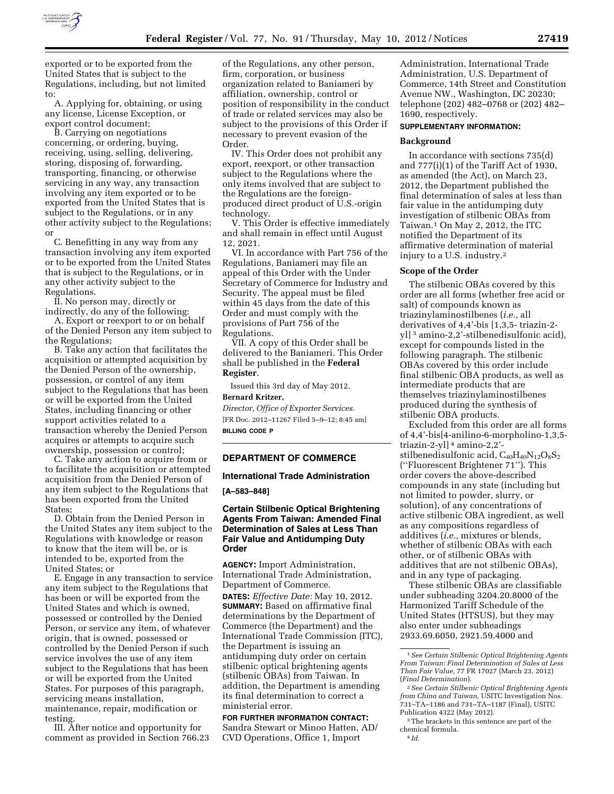

exported or to be exported from the United States that is subject to the Regulations, including, but not limited to:

A. Applying for, obtaining, or using any license, License Exception, or export control document;

B. Carrying on negotiations concerning, or ordering, buying, receiving, using, selling, delivering, storing, disposing of, forwarding, transporting, financing, or otherwise servicing in any way, any transaction involving any item exported or to be exported from the United States that is subject to the Regulations, or in any other activity subject to the Regulations; or

C. Benefitting in any way from any transaction involving any item exported or to be exported from the United States that is subject to the Regulations, or in any other activity subject to the Regulations.

II. No person may, directly or indirectly, do any of the following:

A. Export or reexport to or on behalf of the Denied Person any item subject to the Regulations;

B. Take any action that facilitates the acquisition or attempted acquisition by the Denied Person of the ownership, possession, or control of any item subject to the Regulations that has been or will be exported from the United States, including financing or other support activities related to a transaction whereby the Denied Person acquires or attempts to acquire such ownership, possession or control;

C. Take any action to acquire from or to facilitate the acquisition or attempted acquisition from the Denied Person of any item subject to the Regulations that has been exported from the United States;

D. Obtain from the Denied Person in the United States any item subject to the Regulations with knowledge or reason to know that the item will be, or is intended to be, exported from the United States; or

E. Engage in any transaction to service any item subject to the Regulations that has been or will be exported from the United States and which is owned, possessed or controlled by the Denied Person, or service any item, of whatever origin, that is owned, possessed or controlled by the Denied Person if such service involves the use of any item subject to the Regulations that has been or will be exported from the United States. For purposes of this paragraph, servicing means installation, maintenance, repair, modification or testing.

III. After notice and opportunity for comment as provided in Section 766.23

of the Regulations, any other person, firm, corporation, or business organization related to Baniameri by affiliation, ownership, control or position of responsibility in the conduct of trade or related services may also be subject to the provisions of this Order if necessary to prevent evasion of the Order.

IV. This Order does not prohibit any export, reexport, or other transaction subject to the Regulations where the only items involved that are subject to the Regulations are the foreignproduced direct product of U.S.-origin technology.

V. This Order is effective immediately and shall remain in effect until August 12, 2021.

VI. In accordance with Part 756 of the Regulations, Baniameri may file an appeal of this Order with the Under Secretary of Commerce for Industry and Security. The appeal must be filed within 45 days from the date of this Order and must comply with the provisions of Part 756 of the Regulations.

VII. A copy of this Order shall be delivered to the Baniameri. This Order shall be published in the **Federal Register**.

Issued this 3rd day of May 2012.

# **Bernard Kritzer,**

*Director, Office of Exporter Services.*  [FR Doc. 2012–11267 Filed 5–9–12; 8:45 am] **BILLING CODE P** 

### **DEPARTMENT OF COMMERCE**

# **International Trade Administration**

**[A–583–848]** 

## **Certain Stilbenic Optical Brightening Agents From Taiwan: Amended Final Determination of Sales at Less Than Fair Value and Antidumping Duty Order**

**AGENCY:** Import Administration, International Trade Administration, Department of Commerce. **DATES:** *Effective Date:* May 10, 2012. **SUMMARY:** Based on affirmative final determinations by the Department of Commerce (the Department) and the International Trade Commission (ITC), the Department is issuing an antidumping duty order on certain stilbenic optical brightening agents (stilbenic OBAs) from Taiwan. In addition, the Department is amending its final determination to correct a ministerial error.

**FOR FURTHER INFORMATION CONTACT:**  Sandra Stewart or Minoo Hatten, AD/ CVD Operations, Office 1, Import

Administration, International Trade Administration, U.S. Department of Commerce, 14th Street and Constitution Avenue NW., Washington, DC 20230; telephone (202) 482–0768 or (202) 482– 1690, respectively.

## **SUPPLEMENTARY INFORMATION:**

#### **Background**

In accordance with sections 735(d) and 777(i)(1) of the Tariff Act of 1930, as amended (the Act), on March 23, 2012, the Department published the final determination of sales at less than fair value in the antidumping duty investigation of stilbenic OBAs from Taiwan.1 On May 2, 2012, the ITC notified the Department of its affirmative determination of material injury to a U.S. industry.2

#### **Scope of the Order**

The stilbenic OBAs covered by this order are all forms (whether free acid or salt) of compounds known as triazinylaminostilbenes (*i.e.,* all derivatives of 4,4'-bis [1,3,5- triazin-2 yl] 3 amino-2,2'-stilbenedisulfonic acid), except for compounds listed in the following paragraph. The stilbenic OBAs covered by this order include final stilbenic OBA products, as well as intermediate products that are themselves triazinylaminostilbenes produced during the synthesis of stilbenic OBA products.

Excluded from this order are all forms of 4,4'-bis[4-anilino-6-morpholino-1,3,5 triazin-2-yl] 4 amino-2,2' stilbenedisulfonic acid, C<sub>40</sub>H<sub>40</sub>N<sub>12</sub>O<sub>8</sub>S<sub>2</sub> (''Fluorescent Brightener 71''). This order covers the above-described compounds in any state (including but not limited to powder, slurry, or solution), of any concentrations of active stilbenic OBA ingredient, as well as any compositions regardless of additives (*i.e.,* mixtures or blends, whether of stilbenic OBAs with each other, or of stilbenic OBAs with additives that are not stilbenic OBAs), and in any type of packaging.

These stilbenic OBAs are classifiable under subheading 3204.20.8000 of the Harmonized Tariff Schedule of the United States (HTSUS), but they may also enter under subheadings 2933.69.6050, 2921.59.4000 and

4 *Id.* 

<sup>1</sup>*See Certain Stilbenic Optical Brightening Agents From Taiwan: Final Determination of Sales at Less Than Fair Value,* 77 FR 17027 (March 23, 2012) (*Final Determination*).

<sup>2</sup>*See Certain Stilbenic Optical Brightening Agents from China and Taiwan,* USITC Investigation Nos. 731–TA–1186 and 731–TA–1187 (Final), USITC Publication 4322 (May 2012).

<sup>3</sup>The brackets in this sentence are part of the chemical formula.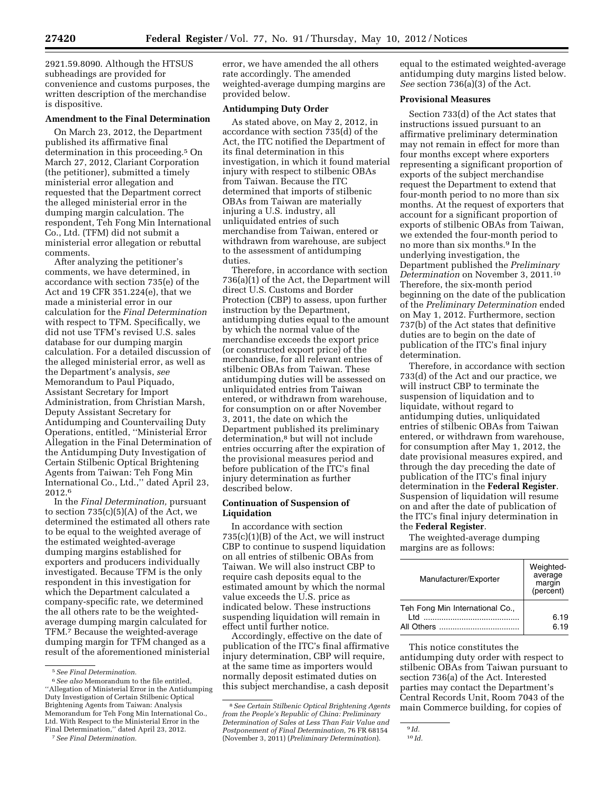2921.59.8090. Although the HTSUS subheadings are provided for convenience and customs purposes, the written description of the merchandise is dispositive.

# **Amendment to the Final Determination**

On March 23, 2012, the Department published its affirmative final determination in this proceeding.<sup>5</sup> On March 27, 2012, Clariant Corporation (the petitioner), submitted a timely ministerial error allegation and requested that the Department correct the alleged ministerial error in the dumping margin calculation. The respondent, Teh Fong Min International Co., Ltd. (TFM) did not submit a ministerial error allegation or rebuttal comments.

After analyzing the petitioner's comments, we have determined, in accordance with section 735(e) of the Act and 19 CFR 351.224(e), that we made a ministerial error in our calculation for the *Final Determination*  with respect to TFM. Specifically, we did not use TFM's revised U.S. sales database for our dumping margin calculation. For a detailed discussion of the alleged ministerial error, as well as the Department's analysis, *see*  Memorandum to Paul Piquado, Assistant Secretary for Import Administration, from Christian Marsh, Deputy Assistant Secretary for Antidumping and Countervailing Duty Operations, entitled, ''Ministerial Error Allegation in the Final Determination of the Antidumping Duty Investigation of Certain Stilbenic Optical Brightening Agents from Taiwan: Teh Fong Min International Co., Ltd.,'' dated April 23, 2012.6

In the *Final Determination,* pursuant to section  $735(c)(5)(A)$  of the Act, we determined the estimated all others rate to be equal to the weighted average of the estimated weighted-average dumping margins established for exporters and producers individually investigated. Because TFM is the only respondent in this investigation for which the Department calculated a company-specific rate, we determined the all others rate to be the weightedaverage dumping margin calculated for TFM.7 Because the weighted-average dumping margin for TFM changed as a result of the aforementioned ministerial error, we have amended the all others rate accordingly. The amended weighted-average dumping margins are provided below.

#### **Antidumping Duty Order**

As stated above, on May 2, 2012, in accordance with section 735(d) of the Act, the ITC notified the Department of its final determination in this investigation, in which it found material injury with respect to stilbenic OBAs from Taiwan. Because the ITC determined that imports of stilbenic OBAs from Taiwan are materially injuring a U.S. industry, all unliquidated entries of such merchandise from Taiwan, entered or withdrawn from warehouse, are subject to the assessment of antidumping duties.

Therefore, in accordance with section 736(a)(1) of the Act, the Department will direct U.S. Customs and Border Protection (CBP) to assess, upon further instruction by the Department, antidumping duties equal to the amount by which the normal value of the merchandise exceeds the export price (or constructed export price) of the merchandise, for all relevant entries of stilbenic OBAs from Taiwan. These antidumping duties will be assessed on unliquidated entries from Taiwan entered, or withdrawn from warehouse, for consumption on or after November 3, 2011, the date on which the Department published its preliminary determination,8 but will not include entries occurring after the expiration of the provisional measures period and before publication of the ITC's final injury determination as further described below.

### **Continuation of Suspension of Liquidation**

In accordance with section 735(c)(1)(B) of the Act, we will instruct CBP to continue to suspend liquidation on all entries of stilbenic OBAs from Taiwan. We will also instruct CBP to require cash deposits equal to the estimated amount by which the normal value exceeds the U.S. price as indicated below. These instructions suspending liquidation will remain in effect until further notice.

Accordingly, effective on the date of publication of the ITC's final affirmative injury determination, CBP will require, at the same time as importers would normally deposit estimated duties on this subject merchandise, a cash deposit

equal to the estimated weighted-average antidumping duty margins listed below. *See* section 736(a)(3) of the Act.

### **Provisional Measures**

Section 733(d) of the Act states that instructions issued pursuant to an affirmative preliminary determination may not remain in effect for more than four months except where exporters representing a significant proportion of exports of the subject merchandise request the Department to extend that four-month period to no more than six months. At the request of exporters that account for a significant proportion of exports of stilbenic OBAs from Taiwan, we extended the four-month period to no more than six months.9 In the underlying investigation, the Department published the *Preliminary Determination* on November 3, 2011.10 Therefore, the six-month period beginning on the date of the publication of the *Preliminary Determination* ended on May 1, 2012. Furthermore, section 737(b) of the Act states that definitive duties are to begin on the date of publication of the ITC's final injury determination.

Therefore, in accordance with section 733(d) of the Act and our practice, we will instruct CBP to terminate the suspension of liquidation and to liquidate, without regard to antidumping duties, unliquidated entries of stilbenic OBAs from Taiwan entered, or withdrawn from warehouse, for consumption after May 1, 2012, the date provisional measures expired, and through the day preceding the date of publication of the ITC's final injury determination in the **Federal Register**. Suspension of liquidation will resume on and after the date of publication of the ITC's final injury determination in the **Federal Register**.

The weighted-average dumping margins are as follows:

| Manufacturer/Exporter                        | Weighted-<br>average<br>margin<br>(percent) |
|----------------------------------------------|---------------------------------------------|
| Teh Fong Min International Co.,<br><b>ht</b> | 6.19<br>6.19                                |

This notice constitutes the antidumping duty order with respect to stilbenic OBAs from Taiwan pursuant to section 736(a) of the Act. Interested parties may contact the Department's Central Records Unit, Room 7043 of the main Commerce building, for copies of

<sup>5</sup>*See Final Determination.* 

<sup>6</sup>*See also* Memorandum to the file entitled, ''Allegation of Ministerial Error in the Antidumping Duty Investigation of Certain Stilbenic Optical Brightening Agents from Taiwan: Analysis Memorandum for Teh Fong Min International Co., Ltd. With Respect to the Ministerial Error in the Final Determination,'' dated April 23, 2012.

<sup>7</sup>*See Final Determination.* 

<sup>8</sup>*See Certain Stilbenic Optical Brightening Agents from the People's Republic of China: Preliminary Determination of Sales at Less Than Fair Value and Postponement of Final Determination,* 76 FR 68154 (November 3, 2011) (*Preliminary Determination*).

<sup>9</sup> *Id.* 

<sup>10</sup> *Id.*